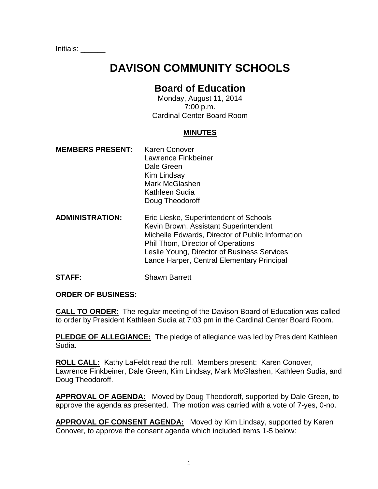Initials: \_\_\_\_\_\_

# **DAVISON COMMUNITY SCHOOLS**

# **Board of Education**

Monday, August 11, 2014 7:00 p.m. Cardinal Center Board Room

#### **MINUTES**

- **MEMBERS PRESENT:** Karen Conover Lawrence Finkbeiner Dale Green Kim Lindsay Mark McGlashen Kathleen Sudia Doug Theodoroff
- **ADMINISTRATION:** Eric Lieske, Superintendent of Schools Kevin Brown, Assistant Superintendent Michelle Edwards, Director of Public Information Phil Thom, Director of Operations Leslie Young, Director of Business Services Lance Harper, Central Elementary Principal
- **STAFF:** Shawn Barrett

#### **ORDER OF BUSINESS:**

**CALL TO ORDER**: The regular meeting of the Davison Board of Education was called to order by President Kathleen Sudia at 7:03 pm in the Cardinal Center Board Room.

**PLEDGE OF ALLEGIANCE:** The pledge of allegiance was led by President Kathleen Sudia.

**ROLL CALL:** Kathy LaFeldt read the roll. Members present: Karen Conover, Lawrence Finkbeiner, Dale Green, Kim Lindsay, Mark McGlashen, Kathleen Sudia, and Doug Theodoroff.

**APPROVAL OF AGENDA:** Moved by Doug Theodoroff, supported by Dale Green, to approve the agenda as presented. The motion was carried with a vote of 7-yes, 0-no.

**APPROVAL OF CONSENT AGENDA:** Moved by Kim Lindsay, supported by Karen Conover, to approve the consent agenda which included items 1-5 below: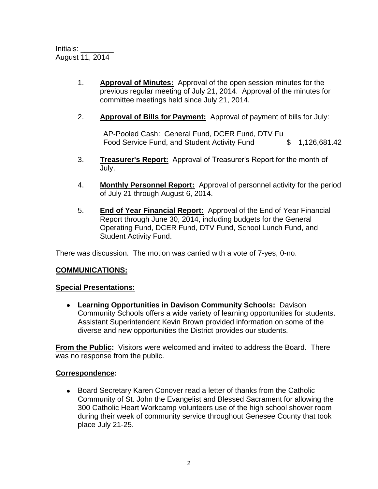- 1. **Approval of Minutes:** Approval of the open session minutes for the previous regular meeting of July 21, 2014. Approval of the minutes for committee meetings held since July 21, 2014.
- 2. **Approval of Bills for Payment:** Approval of payment of bills for July:

AP-Pooled Cash: General Fund, DCER Fund, DTV Fu Food Service Fund, and Student Activity Fund  $$ 1,126,681.42$ 

- 3. **Treasurer's Report:** Approval of Treasurer's Report for the month of July.
- 4. **Monthly Personnel Report:** Approval of personnel activity for the period of July 21 through August 6, 2014.
- 5. **End of Year Financial Report:** Approval of the End of Year Financial Report through June 30, 2014, including budgets for the General Operating Fund, DCER Fund, DTV Fund, School Lunch Fund, and Student Activity Fund.

There was discussion. The motion was carried with a vote of 7-yes, 0-no.

## **COMMUNICATIONS:**

## **Special Presentations:**

**Learning Opportunities in Davison Community Schools:** Davison Community Schools offers a wide variety of learning opportunities for students. Assistant Superintendent Kevin Brown provided information on some of the diverse and new opportunities the District provides our students.

**From the Public:** Visitors were welcomed and invited to address the Board. There was no response from the public.

#### **Correspondence:**

• Board Secretary Karen Conover read a letter of thanks from the Catholic Community of St. John the Evangelist and Blessed Sacrament for allowing the 300 Catholic Heart Workcamp volunteers use of the high school shower room during their week of community service throughout Genesee County that took place July 21-25.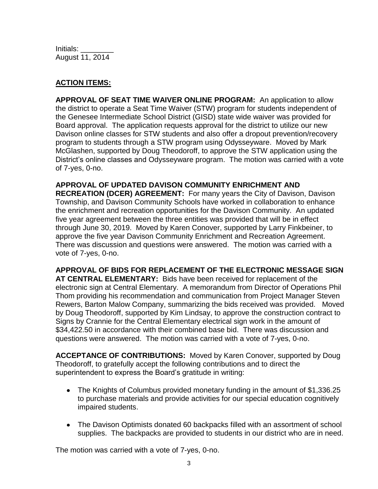Initials: \_\_\_\_\_\_\_\_ August 11, 2014

# **ACTION ITEMS:**

**APPROVAL OF SEAT TIME WAIVER ONLINE PROGRAM:** An application to allow the district to operate a Seat Time Waiver (STW) program for students independent of the Genesee Intermediate School District (GISD) state wide waiver was provided for Board approval. The application requests approval for the district to utilize our new Davison online classes for STW students and also offer a dropout prevention/recovery program to students through a STW program using Odysseyware. Moved by Mark McGlashen, supported by Doug Theodoroff, to approve the STW application using the District's online classes and Odysseyware program. The motion was carried with a vote of 7-yes, 0-no.

**APPROVAL OF UPDATED DAVISON COMMUNITY ENRICHMENT AND RECREATION (DCER) AGREEMENT:** For many years the City of Davison, Davison Township, and Davison Community Schools have worked in collaboration to enhance the enrichment and recreation opportunities for the Davison Community. An updated five year agreement between the three entities was provided that will be in effect through June 30, 2019. Moved by Karen Conover, supported by Larry Finkbeiner, to approve the five year Davison Community Enrichment and Recreation Agreement. There was discussion and questions were answered. The motion was carried with a vote of 7-yes, 0-no.

**APPROVAL OF BIDS FOR REPLACEMENT OF THE ELECTRONIC MESSAGE SIGN AT CENTRAL ELEMENTARY:** Bids have been received for replacement of the electronic sign at Central Elementary. A memorandum from Director of Operations Phil Thom providing his recommendation and communication from Project Manager Steven Rewers, Barton Malow Company, summarizing the bids received was provided. Moved by Doug Theodoroff, supported by Kim Lindsay, to approve the construction contract to Signs by Crannie for the Central Elementary electrical sign work in the amount of \$34,422.50 in accordance with their combined base bid. There was discussion and questions were answered. The motion was carried with a vote of 7-yes, 0-no.

**ACCEPTANCE OF CONTRIBUTIONS:** Moved by Karen Conover, supported by Doug Theodoroff, to gratefully accept the following contributions and to direct the superintendent to express the Board's gratitude in writing:

- The Knights of Columbus provided monetary funding in the amount of \$1,336.25 to purchase materials and provide activities for our special education cognitively impaired students.
- The Davison Optimists donated 60 backpacks filled with an assortment of school supplies. The backpacks are provided to students in our district who are in need.

The motion was carried with a vote of 7-yes, 0-no.